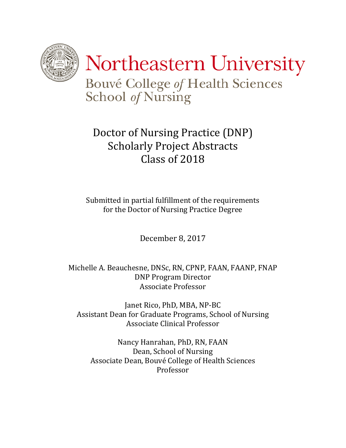

# Doctor of Nursing Practice (DNP) Scholarly Project Abstracts Class of 2018

Submitted in partial fulfillment of the requirements for the Doctor of Nursing Practice Degree

December 8, 2017

Michelle A. Beauchesne, DNSc, RN, CPNP, FAAN, FAANP, FNAP DNP Program Director Associate Professor

Janet Rico, PhD, MBA, NP-BC Assistant Dean for Graduate Programs, School of Nursing Associate Clinical Professor

Nancy Hanrahan, PhD, RN, FAAN Dean, School of Nursing Associate Dean, Bouvé College of Health Sciences Professor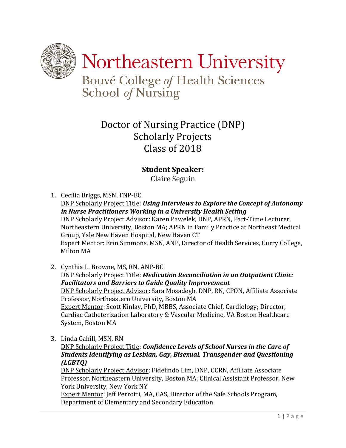

Northeastern University

Bouvé College of Health Sciences School of Nursing

# Doctor of Nursing Practice (DNP) Scholarly Projects Class of 2018

## **Student Speaker:**

Claire Seguin

- 1. Cecilia Briggs, MSN, FNP-BC DNP Scholarly Project Title: *Using Interviews to Explore the Concept of Autonomy in Nurse Practitioners Working in a University Health Setting* DNP Scholarly Project Advisor: Karen Pawelek, DNP, APRN, Part-Time Lecturer, Northeastern University, Boston MA; APRN in Family Practice at Northeast Medical Group, Yale New Haven Hospital, New Haven CT Expert Mentor: Erin Simmons, MSN, ANP, Director of Health Services, Curry College, Milton MA
- 2. Cynthia L. Browne, MS, RN, ANP-BC DNP Scholarly Project Title: *Medication Reconciliation in an Outpatient Clinic: Facilitators and Barriers to Guide Quality Improvement* DNP Scholarly Project Advisor: Sara Mosadegh, DNP, RN, CPON, Affiliate Associate Professor, Northeastern University, Boston MA Expert Mentor: Scott Kinlay, PhD, MBBS, Associate Chief, Cardiology; Director, Cardiac Catheterization Laboratory & Vascular Medicine, VA Boston Healthcare System, Boston MA
- 3. Linda Cahill, MSN, RN

DNP Scholarly Project Title: *Confidence Levels of School Nurses in the Care of Students Identifying as Lesbian, Gay, Bisexual, Transgender and Questioning (LGBTQ)*

DNP Scholarly Project Advisor: Fidelindo Lim, DNP, CCRN, Affiliate Associate Professor, Northeastern University, Boston MA; Clinical Assistant Professor, New York University, New York NY

Expert Mentor: Jeff Perrotti, MA, CAS, Director of the Safe Schools Program, Department of Elementary and Secondary Education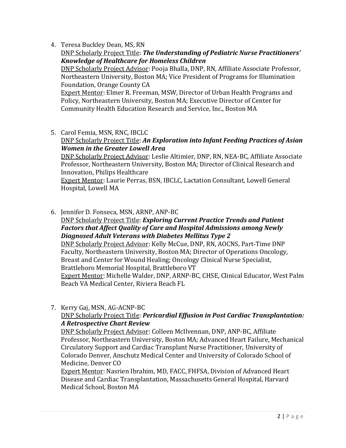4. Teresa Buckley Dean, MS, RN

DNP Scholarly Project Title: *The Understanding of Pediatric Nurse Practitioners' Knowledge of Healthcare for Homeless Children*

DNP Scholarly Project Advisor: Pooja Bhalla, DNP, RN, Affiliate Associate Professor, Northeastern University, Boston MA; Vice President of Programs for Illumination Foundation, Orange County CA

**Expert Mentor: Elmer R. Freeman, MSW, Director of Urban Health Programs and** Policy, Northeastern University, Boston MA; Executive Director of Center for Community Health Education Research and Service, Inc., Boston MA

5. Carol Femia, MSN, RNC, IBCLC

## DNP Scholarly Project Title: *An Exploration into Infant Feeding Practices of Asian Women in the Greater Lowell Area*

DNP Scholarly Project Advisor: Leslie Altimier, DNP, RN, NEA-BC, Affiliate Associate Professor, Northeastern University, Boston MA; Director of Clinical Research and Innovation, Philips Healthcare

Expert Mentor: Laurie Perras, BSN, IBCLC, Lactation Consultant, Lowell General Hospital, Lowell MA

6. Jennifer D. Fonseca, MSN, ARNP, ANP-BC

## DNP Scholarly Project Title: *Exploring Current Practice Trends and Patient Factors that Affect Quality of Care and Hospital Admissions among Newly Diagnosed Adult Veterans with Diabetes Mellitus Type 2*

DNP Scholarly Project Advisor: Kelly McCue, DNP, RN, AOCNS, Part-Time DNP Faculty, Northeastern University, Boston MA; Director of Operations Oncology, Breast and Center for Wound Healing; Oncology Clinical Nurse Specialist, Brattleboro Memorial Hospital, Brattleboro VT

Expert Mentor: Michelle Walder, DNP, ARNP-BC, CHSE, Clinical Educator, West Palm Beach VA Medical Center, Riviera Beach FL

7. Kerry Gaj, MSN, AG-ACNP-BC

## DNP Scholarly Project Title: *Pericardial Effusion in Post Cardiac Transplantation: A Retrospective Chart Review*

DNP Scholarly Project Advisor: Colleen McIlvennan, DNP, ANP-BC, Affiliate Professor, Northeastern University, Boston MA; Advanced Heart Failure, Mechanical Circulatory Support and Cardiac Transplant Nurse Practitioner, University of Colorado Denver, Anschutz Medical Center and University of Colorado School of Medicine, Denver CO

Expert Mentor: Nasrien Ibrahim, MD, FACC, FHFSA, Division of Advanced Heart Disease and Cardiac Transplantation, Massachusetts General Hospital, Harvard Medical School, Boston MA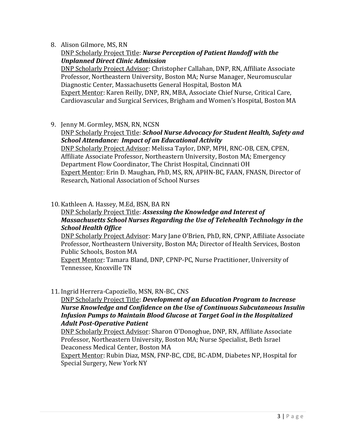## 8. Alison Gilmore, MS, RN

## DNP Scholarly Project Title: *Nurse Perception of Patient Handoff with the Unplanned Direct Clinic Admission*

DNP Scholarly Project Advisor: Christopher Callahan, DNP, RN, Affiliate Associate Professor, Northeastern University, Boston MA; Nurse Manager, Neuromuscular Diagnostic Center, Massachusetts General Hospital, Boston MA Expert Mentor: Karen Reilly, DNP, RN, MBA, Associate Chief Nurse, Critical Care, Cardiovascular and Surgical Services, Brigham and Women's Hospital, Boston MA

9. Jenny M. Gormley, MSN, RN, NCSN

## DNP Scholarly Project Title: *School Nurse Advocacy for Student Health, Safety and School Attendance: Impact of an Educational Activity*

DNP Scholarly Project Advisor: Melissa Taylor, DNP, MPH, RNC-OB, CEN, CPEN, Affiliate Associate Professor, Northeastern University, Boston MA; Emergency Department Flow Coordinator, The Christ Hospital, Cincinnati OH Expert Mentor: Erin D. Maughan, PhD, MS, RN, APHN-BC, FAAN, FNASN, Director of Research, National Association of School Nurses

## 10. Kathleen A. Hassey, M.Ed, BSN, BA RN

## DNP Scholarly Project Title: *Assessing the Knowledge and Interest of Massachusetts School Nurses Regarding the Use of Telehealth Technology in the School Health Office*

DNP Scholarly Project Advisor: Mary Jane O'Brien, PhD, RN, CPNP, Affiliate Associate Professor, Northeastern University, Boston MA; Director of Health Services, Boston Public Schools, Boston MA

Expert Mentor: Tamara Bland, DNP, CPNP-PC, Nurse Practitioner, University of Tennessee, Knoxville TN

11. Ingrid Herrera-Capoziello, MSN, RN-BC, CNS

## DNP Scholarly Project Title: *Development of an Education Program to Increase Nurse Knowledge and Confidence on the Use of Continuous Subcutaneous Insulin Infusion Pumps to Maintain Blood Glucose at Target Goal in the Hospitalized Adult Post-Operative Patient*

DNP Scholarly Project Advisor: Sharon O'Donoghue, DNP, RN, Affiliate Associate Professor, Northeastern University, Boston MA; Nurse Specialist, Beth Israel Deaconess Medical Center, Boston MA

Expert Mentor: Rubin Diaz, MSN, FNP-BC, CDE, BC-ADM, Diabetes NP, Hospital for Special Surgery, New York NY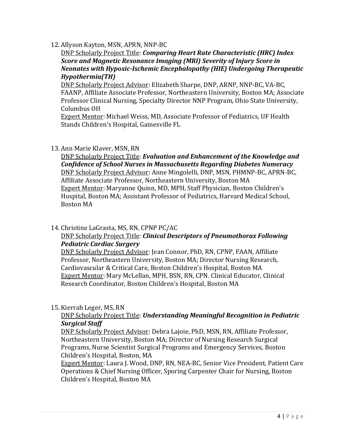## 12. Allyson Kayton, MSN, APRN, NNP-BC

DNP Scholarly Project Title: *Comparing Heart Rate Characteristic (HRC) Index Score and Magnetic Resonance Imaging (MRI) Severity of Injury Score in Neonates with Hypoxic-Ischemic Encephalopathy (HIE) Undergoing Therapeutic Hypothermia(TH)*

DNP Scholarly Project Advisor: Elizabeth Sharpe, DNP, ARNP, NNP-BC, VA-BC, FAANP, Affiliate Associate Professor, Northeastern University, Boston MA; Associate Professor Clinical Nursing, Specialty Director NNP Program, Ohio State University, Columbus OH

Expert Mentor: Michael Weiss, MD, Associate Professor of Pediatrics, UF Health Stands Children's Hospital, Gainesville FL

## 13. Ann Marie Klaver, MSN, RN

DNP Scholarly Project Title: *Evaluation and Enhancement of the Knowledge and Confidence of School Nurses in Massachusetts Regarding Diabetes Numeracy* DNP Scholarly Project Advisor: Anne Mingolelli, DNP, MSN, PHMNP-BC, APRN-BC, Affiliate Associate Professor, Northeastern University, Boston MA Expert Mentor: Maryanne Quinn, MD, MPH, Staff Physician, Boston Children's Hospital, Boston MA; Assistant Professor of Pediatrics, Harvard Medical School, Boston MA

## 14. Christine LaGrasta, MS, RN, CPNP PC/AC

## DNP Scholarly Project Title: *Clinical Descriptors of Pneumothorax Following Pediatric Cardiac Surgery*

DNP Scholarly Project Advisor: Jean Connor, PhD, RN, CPNP, FAAN, Affiliate Professor, Northeastern University, Boston MA; Director Nursing Research, Cardiovascular & Critical Care, Boston Children's Hospital, Boston MA Expert Mentor: Mary McLellan, MPH, BSN, RN, CPN. Clinical Educator, Clinical Research Coordinator, Boston Children's Hospital, Boston MA

## 15. Kierrah Leger, MS, RN

## DNP Scholarly Project Title: *Understanding Meaningful Recognition in Pediatric Surgical Staff*

DNP Scholarly Project Advisor: Debra Lajoie, PhD, MSN, RN, Affiliate Professor, Northeastern University, Boston MA; Director of Nursing Research Surgical Programs, Nurse Scientist Surgical Programs and Emergency Services, Boston Children's Hospital, Boston, MA

Expert Mentor: Laura J. Wood, DNP, RN, NEA-BC, Senior Vice President, Patient Care Operations & Chief Nursing Officer, Sporing Carpenter Chair for Nursing, Boston Children's Hospital, Boston MA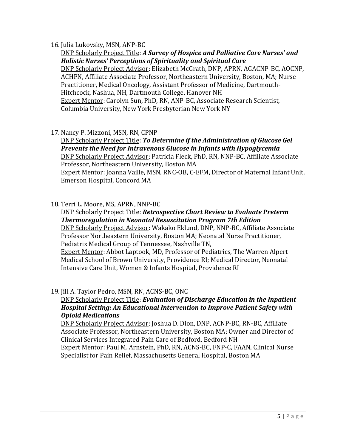#### 16. Julia Lukovsky, MSN, ANP-BC

DNP Scholarly Project Title: *A Survey of Hospice and Palliative Care Nurses' and Holistic Nurses' Perceptions of Spirituality and Spiritual Care* DNP Scholarly Project Advisor: Elizabeth McGrath, DNP, APRN, AGACNP-BC, AOCNP, ACHPN, Affiliate Associate Professor, Northeastern University, Boston, MA; Nurse Practitioner, Medical Oncology, Assistant Professor of Medicine, Dartmouth-Hitchcock, Nashua, NH, Dartmouth College, Hanover NH Expert Mentor: Carolyn Sun, PhD, RN, ANP-BC, Associate Research Scientist, Columbia University, New York Presbyterian New York NY

17. Nancy P. Mizzoni, MSN, RN, CPNP

DNP Scholarly Project Title: *To Determine if the Administration of Glucose Gel Prevents the Need for Intravenous Glucose in Infants with Hypoglycemia* DNP Scholarly Project Advisor: Patricia Fleck, PhD, RN, NNP-BC, Affiliate Associate Professor, Northeastern University, Boston MA Expert Mentor: Joanna Vaille, MSN, RNC-OB, C-EFM, Director of Maternal Infant Unit, Emerson Hospital, Concord MA

#### 18. Terri L. Moore, MS, APRN, NNP-BC

DNP Scholarly Project Title: *Retrospective Chart Review to Evaluate Preterm Thermoregulation in Neonatal Resuscitation Program 7th Edition* DNP Scholarly Project Advisor: Wakako Eklund, DNP, NNP-BC, Affiliate Associate Professor Northeastern University, Boston MA; Neonatal Nurse Practitioner, Pediatrix Medical Group of Tennessee, Nashville TN, Expert Mentor: Abbot Laptook, MD, Professor of Pediatrics, The Warren Alpert Medical School of Brown University, Providence RI; Medical Director, Neonatal Intensive Care Unit, Women & Infants Hospital, Providence RI

## 19. Jill A. Taylor Pedro, MSN, RN, ACNS-BC, ONC

## DNP Scholarly Project Title: *Evaluation of Discharge Education in the Inpatient Hospital Setting: An Educational Intervention to Improve Patient Safety with Opioid Medications*

DNP Scholarly Project Advisor: Joshua D. Dion, DNP, ACNP-BC, RN-BC, Affiliate Associate Professor, Northeastern University, Boston MA; Owner and Director of Clinical Services Integrated Pain Care of Bedford, Bedford NH Expert Mentor: Paul M. Arnstein, PhD, RN, ACNS-BC, FNP-C, FAAN, Clinical Nurse Specialist for Pain Relief, Massachusetts General Hospital, Boston MA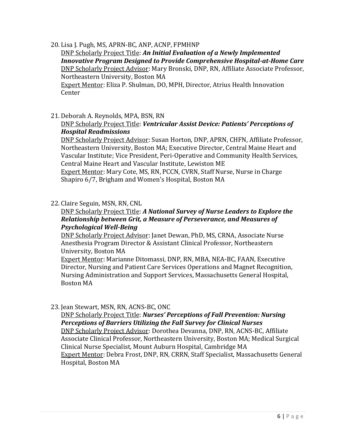20. Lisa J. Pugh, MS, APRN-BC, ANP, ACNP, FPMHNP

DNP Scholarly Project Title: *An Initial Evaluation of a Newly Implemented Innovative Program Designed to Provide Comprehensive Hospital-at-Home Care* DNP Scholarly Project Advisor: Mary Bronski, DNP, RN, Affiliate Associate Professor, Northeastern University, Boston MA Expert Mentor: Eliza P. Shulman, DO, MPH, Director, Atrius Health Innovation

Center

21. Deborah A. Reynolds, MPA, BSN, RN

## DNP Scholarly Project Title: *Ventricular Assist Device: Patients' Perceptions of Hospital Readmissions*

DNP Scholarly Project Advisor: Susan Horton, DNP, APRN, CHFN, Affiliate Professor, Northeastern University, Boston MA; Executive Director, Central Maine Heart and Vascular Institute; Vice President, Peri-Operative and Community Health Services, Central Maine Heart and Vascular Institute, Lewiston ME Expert Mentor: Mary Cote, MS, RN, PCCN, CVRN, Staff Nurse, Nurse in Charge

Shapiro 6/7, Brigham and Women's Hospital, Boston MA

## 22. Claire Seguin, MSN, RN, CNL

## DNP Scholarly Project Title: *A National Survey of Nurse Leaders to Explore the Relationship between Grit, a Measure of Perseverance, and Measures of Psychological Well-Being*

DNP Scholarly Project Advisor: Janet Dewan, PhD, MS, CRNA, Associate Nurse Anesthesia Program Director & Assistant Clinical Professor, Northeastern University, Boston MA

Expert Mentor: Marianne Ditomassi, DNP, RN, MBA, NEA-BC, FAAN, Executive Director, Nursing and Patient Care Services Operations and Magnet Recognition, Nursing Administration and Support Services, Massachusetts General Hospital, Boston MA

## 23. Jean Stewart, MSN, RN, ACNS-BC, ONC

# DNP Scholarly Project Title: *Nurses' Perceptions of Fall Prevention: Nursing Perceptions of Barriers Utilizing the Fall Survey for Clinical Nurses*

DNP Scholarly Project Advisor: Dorothea Devanna, DNP, RN, ACNS-BC, Affiliate Associate Clinical Professor, Northeastern University, Boston MA; Medical Surgical Clinical Nurse Specialist, Mount Auburn Hospital, Cambridge MA Expert Mentor: Debra Frost, DNP, RN, CRRN, Staff Specialist, Massachusetts General Hospital, Boston MA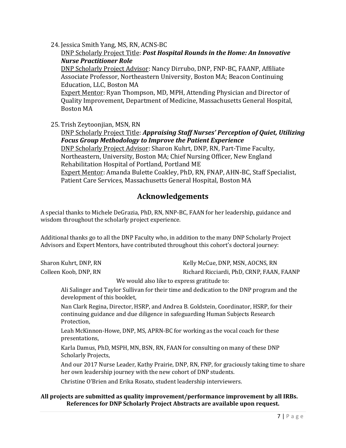24. Jessica Smith Yang, MS, RN, ACNS-BC

DNP Scholarly Project Title: *Post Hospital Rounds in the Home: An Innovative Nurse Practitioner Role* DNP Scholarly Project Advisor: Nancy Dirrubo, DNP, FNP-BC, FAANP, Affiliate

Associate Professor, Northeastern University, Boston MA; Beacon Continuing Education, LLC, Boston MA

Expert Mentor: Ryan Thompson, MD, MPH, Attending Physician and Director of Quality Improvement, Department of Medicine, Massachusetts General Hospital, Boston MA

25. Trish Zeytoonjian, MSN, RN

DNP Scholarly Project Title: *Appraising Staff Nurses' Perception of Quiet, Utilizing Focus Group Methodology to Improve the Patient Experience* DNP Scholarly Project Advisor: Sharon Kuhrt, DNP, RN, Part-Time Faculty,

Northeastern, University, Boston MA; Chief Nursing Officer, New England Rehabilitation Hospital of Portland, Portland ME Expert Mentor: Amanda Bulette Coakley, PhD, RN, FNAP, AHN-BC, Staff Specialist,

Patient Care Services, Massachusetts General Hospital, Boston MA

## **Acknowledgements**

A special thanks to Michele DeGrazia, PhD, RN, NNP-BC, FAAN for her leadership, guidance and wisdom throughout the scholarly project experience.

Additional thanks go to all the DNP Faculty who, in addition to the many DNP Scholarly Project Advisors and Expert Mentors, have contributed throughout this cohort's doctoral journey:

| Sharon Kuhrt, DNP, RN | Kelly McCue, DNP, MSN, AOCNS, RN          |
|-----------------------|-------------------------------------------|
| Colleen Koob, DNP, RN | Richard Ricciardi, PhD, CRNP, FAAN, FAANP |

We would also like to express gratitude to:

Ali Salinger and Taylor Sullivan for their time and dedication to the DNP program and the development of this booklet,

Nan Clark Regina, Director, HSRP, and Andrea B. Goldstein, Coordinator, HSRP, for their continuing guidance and due diligence in safeguarding Human Subjects Research Protection,

Leah McKinnon-Howe, DNP, MS, APRN-BC for working as the vocal coach for these presentations,

Karla Damus, PhD, MSPH, MN, BSN, RN, FAAN for consulting on many of these DNP Scholarly Projects,

And our 2017 Nurse Leader, Kathy Prairie, DNP, RN, FNP, for graciously taking time to share her own leadership journey with the new cohort of DNP students.

Christine O'Brien and Erika Rosato, student leadership interviewers.

#### **All projects are submitted as quality improvement/performance improvement by all IRBs. References for DNP Scholarly Project Abstracts are available upon request.**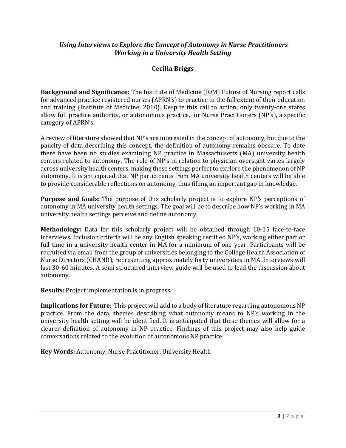## *Using Interviews to Explore the Concept of Autonomy in Nurse Practitioners Working in a University Health Setting*

## **Cecilia Briggs**

**Background and Significance:** The Institute of Medicine (IOM) Future of Nursing report calls for advanced practice registered nurses (APRN's) to practice to the full extent of their education and training (Institute of Medicine, 2010). Despite this call to action, only twenty-one states allow full practice authority, or autonomous practice, for Nurse Practitioners (NP's), a specific category of APRN's.

A review of literature showed that NP's are interested in the concept of autonomy, but due to the paucity of data describing this concept, the definition of autonomy remains obscure. To date there have been no studies examining NP practice in Massachusetts (MA) university health centers related to autonomy. The role of NP's in relation to physician oversight varies largely across university health centers, making these settings perfect to explore the phenomenon of NP autonomy. It is anticipated that NP participants from MA university health centers will be able to provide considerable reflections on autonomy, thus filling an important gap in knowledge.

**Purpose and Goals:** The purpose of this scholarly project is to explore NP's perceptions of autonomy in MA university health settings. The goal will be to describe how NP's working in MA university health settings perceive and define autonomy.

**Methodology:** Data for this scholarly project will be obtained through 10-15 face-to-face interviews. Inclusion criteria will be any English speaking certified NP's, working either part or full time in a university health center in MA for a minimum of one year. Participants will be recruited via email from the group of universities belonging to the College Health Association of Nurse Directors (CHAND), representing approximately forty universities in MA. Interviews will last 30-60 minutes. A semi structured interview guide will be used to lead the discussion about autonomy.

**Results:** Project implementation is in progress.

**Implications for Future:** This project will add to a body of literature regarding autonomous NP practice. From the data, themes describing what autonomy means to NP's working in the university health setting will be identified. It is anticipated that these themes will allow for a clearer definition of autonomy in NP practice. Findings of this project may also help guide conversations related to the evolution of autonomous NP practice.

**Key Words:** Autonomy, Nurse Practitioner, University Health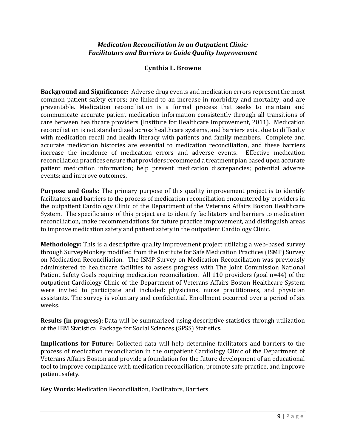### *Medication Reconciliation in an Outpatient Clinic: Facilitators and Barriers to Guide Quality Improvement*

#### **Cynthia L. Browne**

**Background and Significance:** Adverse drug events and medication errors represent the most common patient safety errors; are linked to an increase in morbidity and mortality; and are preventable. Medication reconciliation is a formal process that seeks to maintain and communicate accurate patient medication information consistently through all transitions of care between healthcare providers (Institute for Healthcare Improvement, 2011). Medication reconciliation is not standardized across healthcare systems, and barriers exist due to difficulty with medication recall and health literacy with patients and family members. Complete and accurate medication histories are essential to medication reconciliation, and these barriers increase the incidence of medication errors and adverse events. Effective medication reconciliation practices ensure that providers recommend a treatment plan based upon accurate patient medication information; help prevent medication discrepancies; potential adverse events; and improve outcomes.

**Purpose and Goals:** The primary purpose of this quality improvement project is to identify facilitators and barriers to the process of medication reconciliation encountered by providers in the outpatient Cardiology Clinic of the Department of the Veterans Affairs Boston Healthcare System. The specific aims of this project are to identify facilitators and barriers to medication reconciliation, make recommendations for future practice improvement, and distinguish areas to improve medication safety and patient safety in the outpatient Cardiology Clinic.

**Methodology:** This is a descriptive quality improvement project utilizing a web-based survey through SurveyMonkey modified from the Institute for Safe Medication Practices (ISMP) Survey on Medication Reconciliation. The ISMP Survey on Medication Reconciliation was previously administered to healthcare facilities to assess progress with The Joint Commission National Patient Safety Goals requiring medication reconciliation. All 110 providers (goal n=44) of the outpatient Cardiology Clinic of the Department of Veterans Affairs Boston Healthcare System were invited to participate and included: physicians, nurse practitioners, and physician assistants. The survey is voluntary and confidential. Enrollment occurred over a period of six weeks.

**Results (in progress):** Data will be summarized using descriptive statistics through utilization of the IBM Statistical Package for Social Sciences (SPSS) Statistics.

**Implications for Future:** Collected data will help determine facilitators and barriers to the process of medication reconciliation in the outpatient Cardiology Clinic of the Department of Veterans Affairs Boston and provide a foundation for the future development of an educational tool to improve compliance with medication reconciliation, promote safe practice, and improve patient safety.

**Key Words:** Medication Reconciliation, Facilitators, Barriers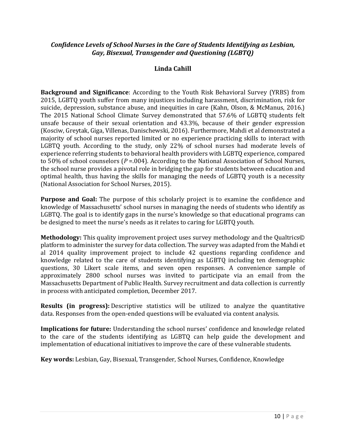## *Confidence Levels of School Nurses in the Care of Students Identifying as Lesbian, Gay, Bisexual, Transgender and Questioning (LGBTQ)*

## **Linda Cahill**

**Background and Significance**: According to the Youth Risk Behavioral Survey (YRBS) from 2015, LGBTQ youth suffer from many injustices including harassment, discrimination, risk for suicide, depression, substance abuse, and inequities in care (Kahn, Olson, & McManus, 2016.) The 2015 National School Climate Survey demonstrated that 57.6% of LGBTQ students felt unsafe because of their sexual orientation and 43.3%, because of their gender expression (Kosciw, Greytak, Giga, Villenas, Danischewski, 2016). Furthermore, Mahdi et al demonstrated a majority of school nurses reported limited or no experience practicing skills to interact with LGBTQ youth. According to the study, only 22% of school nurses had moderate levels of experience referring students to behavioral health providers with LGBTQ experience, compared to 50% of school counselors (*P* =.004). According to the National Association of School Nurses, the school nurse provides a pivotal role in bridging the gap for students between education and optimal health, thus having the skills for managing the needs of LGBTQ youth is a necessity (National Association for School Nurses, 2015).

**Purpose and Goal:** The purpose of this scholarly project is to examine the confidence and knowledge of Massachusetts' school nurses in managing the needs of students who identify as LGBTQ. The goal is to identify gaps in the nurse's knowledge so that educational programs can be designed to meet the nurse's needs as it relates to caring for LGBTQ youth.

**Methodology:** This quality improvement project uses survey methodology and the Qualtrics© platform to administer the survey for data collection. The survey was adapted from the Mahdi et al 2014 quality improvement project to include 42 questions regarding confidence and knowledge related to the care of students identifying as LGBTQ including ten demographic questions, 30 Likert scale items, and seven open responses. A convenience sample of approximately 2800 school nurses was invited to participate via an email from the Massachusetts Department of Public Health. Survey recruitment and data collection is currently in process with anticipated completion, December 2017.

**Results (in progress):** Descriptive statistics will be utilized to analyze the quantitative data. Responses from the open-ended questions will be evaluated via content analysis.

**Implications for future:** Understanding the school nurses' confidence and knowledge related to the care of the students identifying as LGBTQ can help guide the development and implementation of educational initiatives to improve the care of these vulnerable students.

**Key words:** Lesbian, Gay, Bisexual, Transgender, School Nurses, Confidence, Knowledge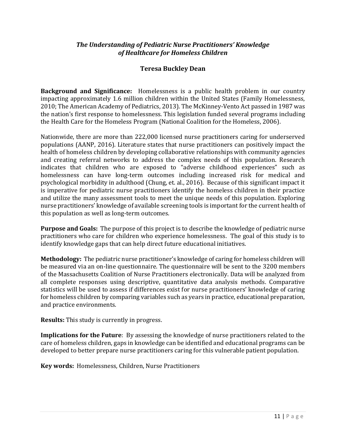## *The Understanding of Pediatric Nurse Practitioners' Knowledge of Healthcare for Homeless Children*

## **Teresa Buckley Dean**

**Background and Significance:** Homelessness is a public health problem in our country impacting approximately 1.6 million children within the United States (Family Homelessness, 2010; The American Academy of Pediatrics, 2013). The McKinney-Vento Act passed in 1987 was the nation's first response to homelessness. This legislation funded several programs including the Health Care for the Homeless Program (National Coalition for the Homeless, 2006).

Nationwide, there are more than 222,000 licensed nurse practitioners caring for underserved populations (AANP, 2016). Literature states that nurse practitioners can positively impact the health of homeless children by developing collaborative relationships with community agencies and creating referral networks to address the complex needs of this population. Research indicates that children who are exposed to "adverse childhood experiences" such as homelessness can have long-term outcomes including increased risk for medical and psychological morbidity in adulthood (Chung, et. al., 2016). Because of this significant impact it is imperative for pediatric nurse practitioners identify the homeless children in their practice and utilize the many assessment tools to meet the unique needs of this population. Exploring nurse practitioners' knowledge of available screening tools is important for the current health of this population as well as long-term outcomes.

**Purpose and Goals:** The purpose of this project is to describe the knowledge of pediatric nurse practitioners who care for children who experience homelessness. The goal of this study is to identify knowledge gaps that can help direct future educational initiatives.

**Methodology:** The pediatric nurse practitioner's knowledge of caring for homeless children will be measured via an on-line questionnaire. The questionnaire will be sent to the 3200 members of the Massachusetts Coalition of Nurse Practitioners electronically. Data will be analyzed from all complete responses using descriptive, quantitative data analysis methods. Comparative statistics will be used to assess if differences exist for nurse practitioners' knowledge of caring for homeless children by comparing variables such as years in practice, educational preparation, and practice environments.

**Results:** This study is currently in progress.

**Implications for the Future**: By assessing the knowledge of nurse practitioners related to the care of homeless children, gaps in knowledge can be identified and educational programs can be developed to better prepare nurse practitioners caring for this vulnerable patient population.

**Key words:** Homelessness, Children, Nurse Practitioners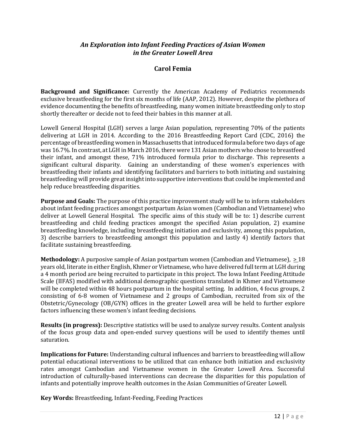#### *An Exploration into Infant Feeding Practices of Asian Women in the Greater Lowell Area*

#### **Carol Femia**

**Background and Significance:** Currently the American Academy of Pediatrics recommends exclusive breastfeeding for the first six months of life (AAP, 2012). However, despite the plethora of evidence documenting the benefits of breastfeeding, many women initiate breastfeeding only to stop shortly thereafter or decide not to feed their babies in this manner at all.

Lowell General Hospital (LGH) serves a large Asian population, representing 70% of the patients delivering at LGH in 2014. According to the 2016 Breastfeeding Report Card (CDC, 2016) the percentage of breastfeeding women in Massachusetts that introduced formula before two days of age was 16.7%. In contrast, at LGH in March 2016, there were 131 Asian mothers who chose to breastfeed their infant, and amongst these, 71% introduced formula prior to discharge. This represents a significant cultural disparity. Gaining an understanding of these women's experiences with breastfeeding their infants and identifying facilitators and barriers to both initiating and sustaining breastfeeding will provide great insight into supportive interventions that could be implemented and help reduce breastfeeding disparities.

**Purpose and Goals:** The purpose of this practice improvement study will be to inform stakeholders about infant feeding practices amongst postpartum Asian women (Cambodian and Vietnamese) who deliver at Lowell General Hospital. The specific aims of this study will be to: 1) describe current breastfeeding and child feeding practices amongst the specified Asian population, 2) examine breastfeeding knowledge, including breastfeeding initiation and exclusivity, among this population, 3) describe barriers to breastfeeding amongst this population and lastly 4) identify factors that facilitate sustaining breastfeeding.

**Methodology:** A purposive sample of Asian postpartum women (Cambodian and Vietnamese), > 18 years old, literate in either English, Khmer or Vietnamese, who have delivered full term at LGH during a 4 month period are being recruited to participate in this project. The Iowa Infant Feeding Attitude Scale (IIFAS) modified with additional demographic questions translated in Khmer and Vietnamese will be completed within 48 hours postpartum in the hospital setting. In addition, 4 focus groups, 2 consisting of 6-8 women of Vietnamese and 2 groups of Cambodian, recruited from six of the Obstetric/Gynecology (OB/GYN) offices in the greater Lowell area will be held to further explore factors influencing these women's infant feeding decisions.

**Results (in progress):** Descriptive statistics will be used to analyze survey results. Content analysis of the focus group data and open-ended survey questions will be used to identify themes until saturation.

**Implications for Future:** Understanding cultural influences and barriers to breastfeeding will allow potential educational interventions to be utilized that can enhance both initiation and exclusivity rates amongst Cambodian and Vietnamese women in the Greater Lowell Area. Successful introduction of culturally-based interventions can decrease the disparities for this population of infants and potentially improve health outcomes in the Asian Communities of Greater Lowell.

**Key Words:** Breastfeeding, Infant-Feeding, Feeding Practices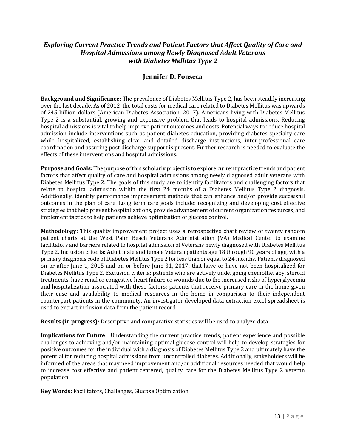## *Exploring Current Practice Trends and Patient Factors that Affect Quality of Care and Hospital Admissions among Newly Diagnosed Adult Veterans with Diabetes Mellitus Type 2*

#### **Jennifer D. Fonseca**

**Background and Significance:** The prevalence of Diabetes Mellitus Type 2, has been steadily increasing over the last decade. As of 2012, the total costs for medical care related to Diabetes Mellitus was upwards of 245 billion dollars (American Diabetes Association, 2017). Americans living with Diabetes Mellitus Type 2 is a substantial, growing and expensive problem that leads to hospital admissions. Reducing hospital admissions is vital to help improve patient outcomes and costs. Potential ways to reduce hospital admission include interventions such as patient diabetes education, providing diabetes specialty care while hospitalized, establishing clear and detailed discharge instructions, inter-professional care coordination and assuring post discharge support is present. Further research is needed to evaluate the effects of these interventions and hospital admissions.

**Purpose and Goals:** The purpose of this scholarly project is to explore current practice trends and patient factors that affect quality of care and hospital admissions among newly diagnosed adult veterans with Diabetes Mellitus Type 2. The goals of this study are to identify facilitators and challenging factors that relate to hospital admission within the first 24 months of a Diabetes Mellitus Type 2 diagnosis. Additionally, identify performance improvement methods that can enhance and/or provide successful outcomes in the plan of care. Long term care goals include: recognizing and developing cost effective strategies that help prevent hospitalizations, provide advancement of current organization resources, and implement tactics to help patients achieve optimization of glucose control.

**Methodology:** This quality improvement project uses a retrospective chart review of twenty random patient charts at the West Palm Beach Veterans Administration (VA) Medical Center to examine facilitators and barriers related to hospital admission of Veterans newly diagnosed with Diabetes Mellitus Type 2. Inclusion criteria: Adult male and female Veteran patients age 18 through 90 years of age, with a primary diagnosis code of Diabetes Mellitus Type 2 for less than or equal to 24 months. Patients diagnosed on or after June 1, 2015 and on or before June 31, 2017, that have or have not been hospitalized for Diabetes Mellitus Type 2. Exclusion criteria: patients who are actively undergoing chemotherapy, steroid treatments, have renal or congestive heart failure or wounds due to the increased risks of hyperglycemia and hospitalization associated with these factors; patients that receive primary care in the home given their ease and availability to medical resources in the home in comparison to their independent counterpart patients in the community. An investigator developed data extraction excel spreadsheet is used to extract inclusion data from the patient record.

**Results (in progress):** Descriptive and comparative statistics will be used to analyze data.

**Implications for Future:** Understanding the current practice trends, patient experience and possible challenges to achieving and/or maintaining optimal glucose control will help to develop strategies for positive outcomes for the individual with a diagnosis of Diabetes Mellitus Type 2 and ultimately have the potential for reducing hospital admissions from uncontrolled diabetes. Additionally, stakeholders will be informed of the areas that may need improvement and/or additional resources needed that would help to increase cost effective and patient centered, quality care for the Diabetes Mellitus Type 2 veteran population.

**Key Words:** Facilitators, Challenges, Glucose Optimization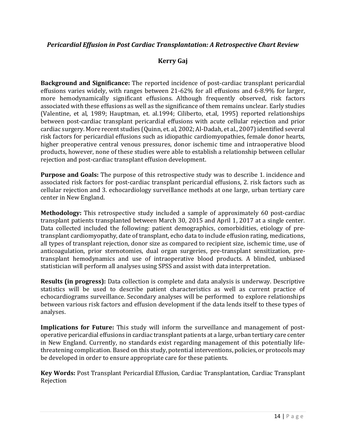## *Pericardial Effusion in Post Cardiac Transplantation: A Retrospective Chart Review*

## **Kerry Gaj**

**Background and Significance:** The reported incidence of post-cardiac transplant pericardial effusions varies widely, with ranges between 21-62% for all effusions and 6-8.9% for larger, more hemodynamically significant effusions. Although frequently observed, risk factors associated with these effusions as well as the significance of them remains unclear. Early studies (Valentine, et al, 1989; Hauptman, et. al.1994; Ciliberto, et.al, 1995) reported relationships between post-cardiac transplant pericardial effusions with acute cellular rejection and prior cardiac surgery. More recent studies (Quinn, et. al, 2002; Al-Dadah, et al., 2007) identified several risk factors for pericardial effusions such as idiopathic cardiomyopathies, female donor hearts, higher preoperative central venous pressures, donor ischemic time and intraoperative blood products, however, none of these studies were able to establish a relationship between cellular rejection and post-cardiac transplant effusion development.

**Purpose and Goals:** The purpose of this retrospective study was to describe 1. incidence and associated risk factors for post-cardiac transplant pericardial effusions, 2. risk factors such as cellular rejection and 3. echocardiology surveillance methods at one large, urban tertiary care center in New England.

**Methodology:** This retrospective study included a sample of approximately 60 post-cardiac transplant patients transplanted between March 30, 2015 and April 1, 2017 at a single center. Data collected included the following: patient demographics, comorbidities, etiology of pretransplant cardiomyopathy, date of transplant, echo data to include effusion rating, medications, all types of transplant rejection, donor size as compared to recipient size, ischemic time, use of anticoagulation, prior sternotomies, dual organ surgeries, pre-transplant sensitization, pretransplant hemodynamics and use of intraoperative blood products. A blinded, unbiased statistician will perform all analyses using SPSS and assist with data interpretation.

**Results (in progress):** Data collection is complete and data analysis is underway. Descriptive statistics will be used to describe patient characteristics as well as current practice of echocardiograms surveillance. Secondary analyses will be performed to explore relationships between various risk factors and effusion development if the data lends itself to these types of analyses.

**Implications for Future:** This study will inform the surveillance and management of postoperative pericardial effusions in cardiac transplant patients at a large, urban tertiary care center in New England. Currently, no standards exist regarding management of this potentially lifethreatening complication. Based on this study, potential interventions, policies, or protocols may be developed in order to ensure appropriate care for these patients.

**Key Words:** Post Transplant Pericardial Effusion, Cardiac Transplantation, Cardiac Transplant Rejection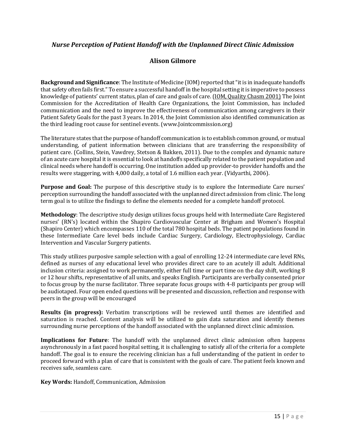## *Nurse Perception of Patient Handoff with the Unplanned Direct Clinic Admission*

## **Alison Gilmore**

**Background and Significance**: The Institute of Medicine (IOM) reported that "it is in inadequate handoffs that safety often fails first." To ensure a successful handoff in the hospital setting it is imperative to possess knowledge of patients' current status, plan of care and goals of care. [\(IOM, Quality Chasm 2001\)](http://www.iom.edu)/) The Joint Commission for the Accreditation of Health Care Organizations, the Joint Commission, has included communication and the need to improve the effectiveness of communication among caregivers in their Patient Safety Goals for the past 3 years. In 2014, the Joint Commission also identified communication as the third leading root cause for sentinel events. (www.Jointcommission.org)

The literature states that the purpose of handoff communication is to establish common ground, or mutual understanding, of patient information between clinicians that are transferring the responsibility of patient care. (Collins, Stein, Vawdrey, Stetson & Bakken, 2011). Due to the complex and dynamic nature of an acute care hospital it is essential to look at handoffs specifically related to the patient population and clinical needs where handoff is occurring. One institution added up provider-to provider handoffs and the results were staggering, with 4,000 daily, a total of 1.6 million each year. (Vidyarthi, 2006).

**Purpose and Goal:** The purpose of this descriptive study is to explore the Intermediate Care nurses' perception surrounding the handoff associated with the unplanned direct admission from clinic. The long term goal is to utilize the findings to define the elements needed for a complete handoff protocol.

**Methodology**: The descriptive study design utilizes focus groups held with Intermediate Care Registered nurses' (RN's) located within the Shapiro Cardiovascular Center at Brigham and Women's Hospital (Shapiro Center) which encompasses 110 of the total 780 hospital beds. The patient populations found in these Intermediate Care level beds include Cardiac Surgery, Cardiology, Electrophysiology, Cardiac Intervention and Vascular Surgery patients.

This study utilizes purposive sample selection with a goal of enrolling 12-24 intermediate care level RNs, defined as nurses of any educational level who provides direct care to an acutely ill adult. Additional inclusion criteria: assigned to work permanently, either full time or part time on the day shift, working 8 or 12 hour shifts, representative of all units, and speaks English. Participants are verbally consented prior to focus group by the nurse facilitator. Three separate focus groups with 4-8 participants per group will be audiotaped. Four open ended questions will be presented and discussion, reflection and response with peers in the group will be encouraged

**Results (in progress):** Verbatim transcriptions will be reviewed until themes are identified and saturation is reached. Content analysis will be utilized to gain data saturation and identify themes surrounding nurse perceptions of the handoff associated with the unplanned direct clinic admission.

**Implications for Future**: The handoff with the unplanned direct clinic admission often happens asynchronously in a fast paced hospital setting, it is challenging to satisfy all of the criteria for a complete handoff. The goal is to ensure the receiving clinician has a full understanding of the patient in order to proceed forward with a plan of care that is consistent with the goals of care. The patient feels known and receives safe, seamless care.

**Key Words:** Handoff, Communication, Admission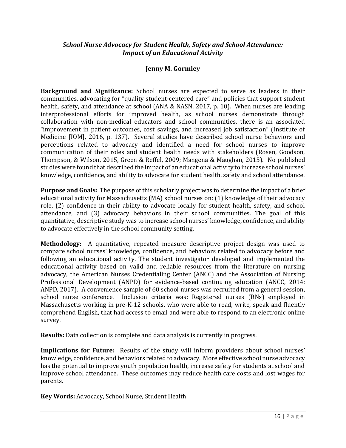### *School Nurse Advocacy for Student Health, Safety and School Attendance: Impact of an Educational Activity*

#### **Jenny M. Gormley**

**Background and Significance:** School nurses are expected to serve as leaders in their communities, advocating for "quality student-centered care" and policies that support student health, safety, and attendance at school (ANA & NASN, 2017, p. 10). When nurses are leading interprofessional efforts for improved health, as school nurses demonstrate through collaboration with non-medical educators and school communities, there is an associated "improvement in patient outcomes, cost savings, and increased job satisfaction" (Institute of Medicine [IOM], 2016, p. 137). Several studies have described school nurse behaviors and perceptions related to advocacy and identified a need for school nurses to improve communication of their roles and student health needs with stakeholders (Rosen, Goodson, Thompson, & Wilson, 2015, Green & Reffel, 2009; Mangena & Maughan, 2015). No published studies were found that described the impact of an educational activity to increase school nurses' knowledge, confidence, and ability to advocate for student health, safety and school attendance.

**Purpose and Goals:** The purpose of this scholarly project was to determine the impact of a brief educational activity for Massachusetts (MA) school nurses on: (1) knowledge of their advocacy role, (2) confidence in their ability to advocate locally for student health, safety, and school attendance, and (3) advocacy behaviors in their school communities. The goal of this quantitative, descriptive study was to increase school nurses' knowledge, confidence, and ability to advocate effectively in the school community setting.

**Methodology:** A quantitative, repeated measure descriptive project design was used to compare school nurses' knowledge, confidence, and behaviors related to advocacy before and following an educational activity. The student investigator developed and implemented the educational activity based on valid and reliable resources from the literature on nursing advocacy, the American Nurses Credentialing Center (ANCC) and the Association of Nursing Professional Development (ANPD) for evidence-based continuing education (ANCC, 2014; ANPD, 2017). A convenience sample of 60 school nurses was recruited from a general session, school nurse conference. Inclusion criteria was: Registered nurses (RNs) employed in Massachusetts working in pre-K-12 schools, who were able to read, write, speak and fluently comprehend English, that had access to email and were able to respond to an electronic online survey.

**Results:** Data collection is complete and data analysis is currently in progress.

**Implications for Future:** Results of the study will inform providers about school nurses' knowledge, confidence, and behaviors related to advocacy. More effective school nurse advocacy has the potential to improve youth population health, increase safety for students at school and improve school attendance. These outcomes may reduce health care costs and lost wages for parents.

**Key Words:** Advocacy, School Nurse, Student Health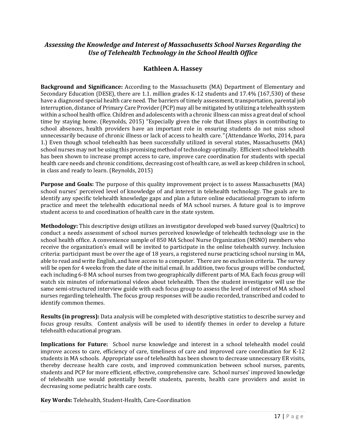#### *Assessing the Knowledge and Interest of Massachusetts School Nurses Regarding the Use of Telehealth Technology in the School Health Office*

#### **Kathleen A. Hassey**

**Background and Significance:** According to the Massachusetts (MA) Department of Elementary and Secondary Education (DESE), there are 1.1. million grades K-12 students and 17.4% (167,530) of these have a diagnosed special health care need. The barriers of timely assessment, transportation, parental job interruption, distance of Primary Care Provider (PCP) may all be mitigated by utilizing a telehealth system within a school health office. Children and adolescents with a chronic illness can miss a great deal of school time by staying home. (Reynolds, 2015) "Especially given the role that illness plays in contributing to school absences, health providers have an important role in ensuring students do not miss school unnecessarily because of chronic illness or lack of access to health care*."* (Attendance Works, 2014, para 1.) Even though school telehealth has been successfully utilized in several states, Massachusetts (MA) school nurses may not be using this promising method of technology optimally. Efficient school telehealth has been shown to increase prompt access to care, improve care coordination for students with special health care needs and chronic conditions, decreasing cost of health care, as well as keep children in school, in class and ready to learn. (Reynolds, 2015)

**Purpose and Goals:** The purpose of this quality improvement project is to assess Massachusetts (MA) school nurses' perceived level of knowledge of and interest in telehealth technology. The goals are to identify any specific telehealth knowledge gaps and plan a future online educational program to inform practice and meet the telehealth educational needs of MA school nurses. A future goal is to improve student access to and coordination of health care in the state system.

**Methodology:** This descriptive design utilizes an investigator developed web based survey (Qualtrics) to conduct a needs assessment of school nurses perceived knowledge of telehealth technology use in the school health office. A convenience sample of 850 MA School Nurse Organization (MSNO) members who receive the organization's email will be invited to participate in the online telehealth survey. Inclusion criteria: participant must be over the age of 18 years, a registered nurse practicing school nursing in MA, able to read and write English, and have access to a computer. There are no exclusion criteria. The survey will be open for 4 weeks from the date of the initial email. In addition, two focus groups will be conducted, each including 6-8 MA school nurses from two geographically different parts of MA. Each focus group will watch six minutes of informational videos about telehealth. Then the student investigator will use the same semi-structured interview guide with each focus group to assess the level of interest of MA school nurses regarding telehealth. The focus group responses will be audio recorded, transcribed and coded to identify common themes.

**Results (in progress):** Data analysis will be completed with descriptive statistics to describe survey and focus group results. Content analysis will be used to identify themes in order to develop a future telehealth educational program.

**Implications for Future:** School nurse knowledge and interest in a school telehealth model could improve access to care, efficiency of care, timeliness of care and improved care coordination for K-12 students in MA schools. Appropriate use of telehealth has been shown to decrease unnecessary ER visits, thereby decrease health care costs, and improved communication between school nurses, parents, students and PCP for more efficient, effective, comprehensive care. School nurses' improved knowledge of telehealth use would potentially benefit students, parents, health care providers and assist in decreasing some pediatric health care costs.

**Key Words:** Telehealth, Student-Health, Care-Coordination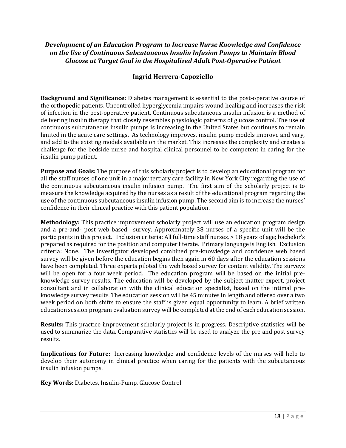## *Development of an Education Program to Increase Nurse Knowledge and Confidence on the Use of Continuous Subcutaneous Insulin Infusion Pumps to Maintain Blood Glucose at Target Goal in the Hospitalized Adult Post-Operative Patient*

## **Ingrid Herrera-Capoziello**

**Background and Significance:** Diabetes management is essential to the post-operative course of the orthopedic patients. Uncontrolled hyperglycemia impairs wound healing and increases the risk of infection in the post-operative patient. Continuous subcutaneous insulin infusion is a method of delivering insulin therapy that closely resembles physiologic patterns of glucose control. The use of continuous subcutaneous insulin pumps is increasing in the United States but continues to remain limited in the acute care settings. As technology improves, insulin pump models improve and vary, and add to the existing models available on the market. This increases the complexity and creates a challenge for the bedside nurse and hospital clinical personnel to be competent in caring for the insulin pump patient.

**Purpose and Goals:** The purpose of this scholarly project is to develop an educational program for all the staff nurses of one unit in a major tertiary care facility in New York City regarding the use of the continuous subcutaneous insulin infusion pump. The first aim of the scholarly project is to measure the knowledge acquired by the nurses as a result of the educational program regarding the use of the continuous subcutaneous insulin infusion pump. The second aim is to increase the nurses' confidence in their clinical practice with this patient population.

**Methodology:** This practice improvement scholarly project will use an education program design and a pre-and- post web based –survey. Approximately 38 nurses of a specific unit will be the participants in this project. Inclusion criteria: All full-time staff nurses, > 18 years of age; bachelor's prepared as required for the position and computer literate. Primary language is English. Exclusion criteria: None. The investigator developed combined pre-knowledge and confidence web based survey will be given before the education begins then again in 60 days after the education sessions have been completed. Three experts piloted the web based survey for content validity. The surveys will be open for a four week period. The education program will be based on the initial preknowledge survey results. The education will be developed by the subject matter expert, project consultant and in collaboration with the clinical education specialist, based on the intimal preknowledge survey results. The education session will be 45 minutes in length and offered over a two week period on both shifts to ensure the staff is given equal opportunity to learn. A brief written education session program evaluation survey will be completed at the end of each education session.

**Results:** This practice improvement scholarly project is in progress. Descriptive statistics will be used to summarize the data. Comparative statistics will be used to analyze the pre and post survey results.

**Implications for Future:** Increasing knowledge and confidence levels of the nurses will help to develop their autonomy in clinical practice when caring for the patients with the subcutaneous insulin infusion pumps.

**Key Words:** Diabetes, Insulin-Pump, Glucose Control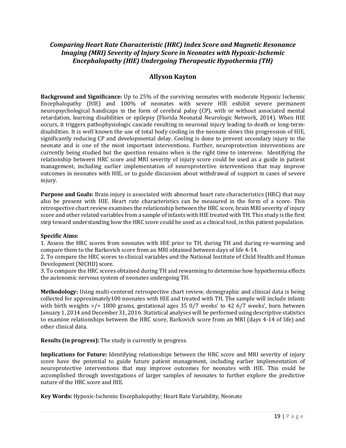## *Comparing Heart Rate Characteristic (HRC) Index Score and Magnetic Resonance Imaging (MRI) Severity of Injury Score in Neonates with Hypoxic-Ischemic Encephalopathy (HIE) Undergoing Therapeutic Hypothermia (TH)*

#### **Allyson Kayton**

**Background and Significance:** Up to 25% of the surviving neonates with moderate Hypoxic Ischemic Encephalopathy (HIE) and 100% of neonates with severe HIE exhibit severe permanent neuropsychological handicaps in the form of cerebral palsy (CP), with or without associated mental retardation, learning disabilities or epilepsy (Florida Neonatal Neurologic Network, 2014). When HIE occurs, it triggers pathophysiologic cascade resulting in neuronal injury leading to death or long-termdisabilities. It is well known the use of total body cooling in the neonate slows this progression of HIE, significantly reducing CP and developmental delay. Cooling is done to prevent secondary injury to the neonate and is one of the most important interventions. Further, neuroprotection interventions are currently being studied but the question remains when is the right time to intervene. Identifying the relationship between HRC score and MRI severity of injury score could be used as a guide in patient management, including earlier implementation of neuroprotective interventions that may improve outcomes in neonates with HIE, or to guide discussion about withdrawal of support in cases of severe injury.

**Purpose and Goals:** Brain injury is associated with abnormal heart rate characteristics (HRC) that may also be present with HIE. Heart rate characteristics can be measured in the form of a score. This retrospective chart review examines the relationship between the HRC score, brain MRI severity of injury score and other related variables from a sample of infants with HIE treated with TH. This study is the first step toward understanding how the HRC score could be used as a clinical tool, in this patient population.

#### **Specific Aims:**

1. Assess the HRC scores from neonates with HIE prior to TH, during TH and during re-warming and compare them to the Barkovich score from an MRI obtained between days of life 4-14.

2. To compare the HRC scores to clinical variables and the National Institute of Child Health and Human Development (NICHD) score.

3. To compare the HRC scores obtained during TH and rewarming to determine how hypothermia effects the autonomic nervous system of neonates undergoing TH.

**Methodology:** Using multi-centered retrospective chart review, demographic and clinical data is being collected for approximately100 neonates with HIE and treated with TH. The sample will include infants with birth weights  $\ge$ /= 1800 grams, gestational ages 35 0/7 weeks' to 42 6/7 weeks', born between January 1, 2014 and December 31, 2016. Statistical analyses will be performed using descriptive statistics to examine relationships between the HRC score, Barkovich score from an MRI (days 4-14 of life) and other clinical data.

#### **Results (in progress):** The study is currently in progress.

**Implications for Future:** Identifying relationships between the HRC score and MRI severity of injury score have the potential to guide future patient management, including earlier implementation of neuroprotective interventions that may improve outcomes for neonates with HIE. This could be accomplished through investigations of larger samples of neonates to further explore the predictive nature of the HRC score and HIE.

**Key Words:** Hypoxic-Ischemic Encephalopathy; Heart Rate Variability, Neonate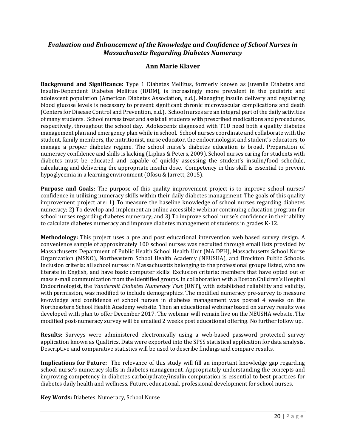#### *Evaluation and Enhancement of the Knowledge and Confidence of School Nurses in Massachusetts Regarding Diabetes Numeracy*

#### **Ann Marie Klaver**

**Background and Significance:** Type 1 Diabetes Mellitus, formerly known as Juvenile Diabetes and Insulin-Dependent Diabetes Mellitus (IDDM), is increasingly more prevalent in the pediatric and adolescent population (American Diabetes Association, n.d.). Managing insulin delivery and regulating blood glucose levels is necessary to prevent significant chronic microvascular complications and death (Centers for Disease Control and Prevention, n.d.). School nurses are an integral part of the daily activities of many students. School nurses treat and assist all students with prescribed medications and procedures, respectively, throughout the school day. Adolescents diagnosed with T1D need both a quality diabetes management plan and emergency plan while in school. School nurses coordinate and collaborate with the student, family members, the nutritionist, nurse educator, the endocrinologist and student's educators, to manage a proper diabetes regime. The school nurse's diabetes education is broad. Preparation of numeracy confidence and skills is lacking (Lipkus & Peters, 2009). School nurses caring for students with diabetes must be educated and capable of quickly assessing the student's insulin/food schedule, calculating and delivering the appropriate insulin dose. Competency in this skill is essential to prevent hypoglycemia in a learning environment (Ofosu & Jarrett, 2015).

**Purpose and Goals:** The purpose of this quality improvement project is to improve school nurses' confidence in utilizing numeracy skills within their daily diabetes management. The goals of this quality improvement project are: 1) To measure the baseline knowledge of school nurses regarding diabetes numeracy; 2) To develop and implement an online accessible webinar continuing education program for school nurses regarding diabetes numeracy; and 3) To improve school nurse's confidence in their ability to calculate diabetes numeracy and improve diabetes management of students in grades K-12.

**Methodology:** This project uses a pre and post educational intervention web based survey design. A convenience sample of approximately 100 school nurses was recruited through email lists provided by Massachusetts Department of Public Health School Health Unit (MA DPH), Massachusetts School Nurse Organization (MSNO), Northeastern School Health Academy (NEUSHA), and Brockton Public Schools. Inclusion criteria: all school nurses in Massachusetts belonging to the professional groups listed, who are literate in English, and have basic computer skills. Exclusion criteria: members that have opted out of mass e-mail communication from the identified groups. In collaboration with a Boston Children's Hospital Endocrinologist, the *Vanderbilt Diabetes Numeracy Test* (DNT), with established reliability and validity, with permission, was modified to include demographics. The modified numeracy pre-survey to measure knowledge and confidence of school nurses in diabetes management was posted 4 weeks on the Northeastern School Health Academy website. Then an educational webinar based on survey results was developed with plan to offer December 2017. The webinar will remain live on the NEUSHA website. The modified post-numeracy survey will be emailed 2 weeks post educational offering. No further follow up.

**Results:** Surveys were administered electronically using a web-based password protected survey application known as Qualtrics. Data were exported into the SPSS statistical application for data analysis. Descriptive and comparative statistics will be used to describe findings and compare results.

**Implications for Future:** The relevance of this study will fill an important knowledge gap regarding school nurse's numeracy skills in diabetes management. Appropriately understanding the concepts and improving competency in diabetes carbohydrate/insulin computation is essential to best practices for diabetes daily health and wellness. Future, educational, professional development for school nurses.

**Key Words:** Diabetes, Numeracy, School Nurse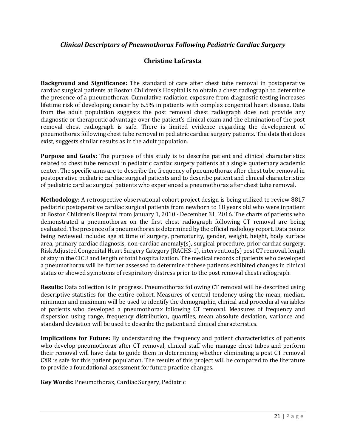## *Clinical Descriptors of Pneumothorax Following Pediatric Cardiac Surgery*

## **Christine LaGrasta**

**Background and Significance:** The standard of care after chest tube removal in postoperative cardiac surgical patients at Boston Children's Hospital is to obtain a chest radiograph to determine the presence of a pneumothorax. Cumulative radiation exposure from diagnostic testing increases lifetime risk of developing cancer by 6.5% in patients with complex congenital heart disease. Data from the adult population suggests the post removal chest radiograph does not provide any diagnostic or therapeutic advantage over the patient's clinical exam and the elimination of the post removal chest radiograph is safe. There is limited evidence regarding the development of pneumothorax following chest tube removal in pediatric cardiac surgery patients. The data that does exist, suggests similar results as in the adult population.

**Purpose and Goals:** The purpose of this study is to describe patient and clinical characteristics related to chest tube removal in pediatric cardiac surgery patients at a single quaternary academic center. The specific aims are to describe the frequency of pneumothorax after chest tube removal in postoperative pediatric cardiac surgical patients and to describe patient and clinical characteristics of pediatric cardiac surgical patients who experienced a pneumothorax after chest tube removal.

**Methodology:** A retrospective observational cohort project design is being utilized to review 8817 pediatric postoperative cardiac surgical patients from newborn to 18 years old who were inpatient at Boston Children's Hospital from January 1, 2010 - December 31, 2016. The charts of patients who demonstrated a pneumothorax on the first chest radiograph following CT removal are being evaluated. The presence of a pneumothorax is determined by the official radiology report. Data points being reviewed include: age at time of surgery, prematurity, gender, weight, height, body surface area, primary cardiac diagnosis, non-cardiac anomaly(s), surgical procedure, prior cardiac surgery, Risk Adjusted Congenital Heart Surgery Category (RACHS-1), intervention(s) post CT removal, length of stay in the CICU and length of total hospitalization. The medical records of patients who developed a pneumothorax will be further assessed to determine if these patients exhibited changes in clinical status or showed symptoms of respiratory distress prior to the post removal chest radiograph.

**Results:** Data collection is in progress. Pneumothorax following CT removal will be described using descriptive statistics for the entire cohort. Measures of central tendency using the mean, median, minimum and maximum will be used to identify the demographic, clinical and procedural variables of patients who developed a pneumothorax following CT removal. Measures of frequency and dispersion using range, frequency distribution, quartiles, mean absolute deviation, variance and standard deviation will be used to describe the patient and clinical characteristics.

**Implications for Future:** By understanding the frequency and patient characteristics of patients who develop pneumothorax after CT removal, clinical staff who manage chest tubes and perform their removal will have data to guide them in determining whether eliminating a post CT removal CXR is safe for this patient population. The results of this project will be compared to the literature to provide a foundational assessment for future practice changes.

**Key Words:** Pneumothorax, Cardiac Surgery, Pediatric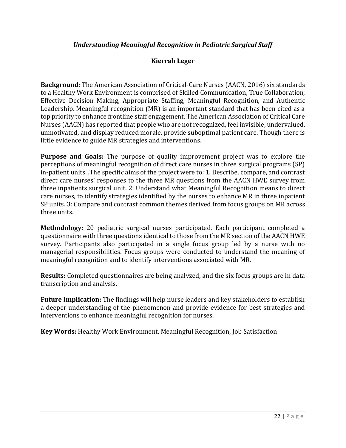## *Understanding Meaningful Recognition in Pediatric Surgical Staff*

## **Kierrah Leger**

**Background**: The American Association of Critical-Care Nurses (AACN, 2016) six standards to a Healthy Work Environment is comprised of Skilled Communication, True Collaboration, Effective Decision Making, Appropriate Staffing, Meaningful Recognition, and Authentic Leadership. Meaningful recognition (MR) is an important standard that has been cited as a top priority to enhance frontline staff engagement. The American Association of Critical Care Nurses (AACN) has reported that people who are not recognized, feel invisible, undervalued, unmotivated, and display reduced morale, provide suboptimal patient care. Though there is little evidence to guide MR strategies and interventions.

**Purpose and Goals:** The purpose of quality improvement project was to explore the perceptions of meaningful recognition of direct care nurses in three surgical programs (SP) in-patient units. .The specific aims of the project were to: 1. Describe, compare, and contrast direct care nurses' responses to the three MR questions from the AACN HWE survey from three inpatients surgical unit. 2: Understand what Meaningful Recognition means to direct care nurses, to identify strategies identified by the nurses to enhance MR in three inpatient SP units. 3: Compare and contrast common themes derived from focus groups on MR across three units.

**Methodology:** 20 pediatric surgical nurses participated. Each participant completed a questionnaire with three questions identical to those from the MR section of the AACN HWE survey. Participants also participated in a single focus group led by a nurse with no managerial responsibilities. Focus groups were conducted to understand the meaning of meaningful recognition and to identify interventions associated with MR.

**Results:** Completed questionnaires are being analyzed, and the six focus groups are in data transcription and analysis.

**Future Implication:** The findings will help nurse leaders and key stakeholders to establish a deeper understanding of the phenomenon and provide evidence for best strategies and interventions to enhance meaningful recognition for nurses.

**Key Words:** Healthy Work Environment, Meaningful Recognition, Job Satisfaction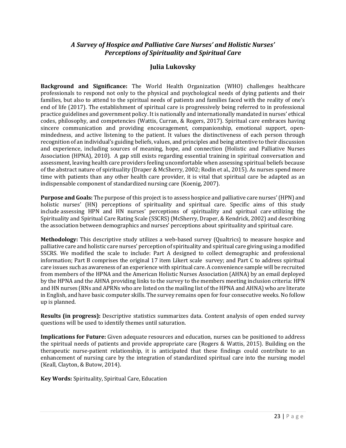## *A Survey of Hospice and Palliative Care Nurses' and Holistic Nurses' Perceptions of Spirituality and Spiritual Care*

## **Julia Lukovsky**

**Background and Significance:** The World Health Organization (WHO) challenges healthcare professionals to respond not only to the physical and psychological needs of dying patients and their families, but also to attend to the spiritual needs of patients and families faced with the reality of one's end of life (2017). The establishment of spiritual care is progressively being referred to in professional practice guidelines and government policy. It is nationally and internationally mandated in nurses' ethical codes, philosophy, and competencies (Wattis, Curran, & Rogers, 2017). Spiritual care embraces having sincere communication and providing encouragement, companionship, emotional support, openmindedness, and active listening to the patient. It values the distinctiveness of each person through recognition of an individual's guiding beliefs, values, and principles and being attentive to their discussion and experience, including sources of meaning, hope, and connection (Holistic and Palliative Nurses Association (HPNA), 2010). A gap still exists regarding essential training in spiritual conversation and assessment, leaving health care providers feeling uncomfortable when assessing spiritual beliefs because of the abstract nature of spirituality (Draper & McSherry, 2002; Rodin et al., 2015). As nurses spend more time with patients than any other health care provider, it is vital that spiritual care be adapted as an indispensable component of standardized nursing care (Koenig, 2007).

**Purpose and Goals:** The purpose of this project is to assess hospice and palliative care nurses' (HPN) and holistic nurses' (HN) perceptions of spirituality and spiritual care. Specific aims of this study include assessing HPN and HN nurses' perceptions of spirituality and spiritual care utilizing the Spirituality and Spiritual Care Rating Scale (SSCRS) (McSherry, Draper, & Kendrick, 2002) and describing the association between demographics and nurses' perceptions about spirituality and spiritual care.

**Methodology:** This descriptive study utilizes a web-based survey (Qualtrics) to measure hospice and palliative care and holistic care nurses' perception of spirituality and spiritual care giving using a modified SSCRS. We modified the scale to include: Part A designed to collect demographic and professional information; Part B comprises the original 17 item Likert scale survey; and Part C to address spiritual care issues such as awareness of an experience with spiritual care. A convenience sample will be recruited from members of the HPNA and the American Holistic Nurses Association (AHNA) by an email deployed by the HPNA and the AHNA providing links to the survey to the members meeting inclusion criteria: HPN and HN nurses (RNs and APRNs who are listed on the mailing list of the HPNA and AHNA) who are literate in English, and have basic computer skills. The survey remains open for four consecutive weeks. No follow up is planned.

**Results (in progress):** Descriptive statistics summarizes data. Content analysis of open ended survey questions will be used to identify themes until saturation.

**Implications for Future:** Given adequate resources and education, nurses can be positioned to address the spiritual needs of patients and provide appropriate care (Rogers & Wattis, 2015). Building on the therapeutic nurse-patient relationship, it is anticipated that these findings could contribute to an enhancement of nursing care by the integration of standardized spiritual care into the nursing model (Keall, Clayton, & Butow, 2014).

**Key Words:** Spirituality, Spiritual Care, Education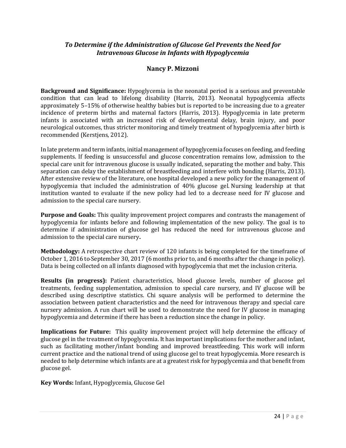## *To Determine if the Administration of Glucose Gel Prevents the Need for Intravenous Glucose in Infants with Hypoglycemia*

## **Nancy P. Mizzoni**

**Background and Significance:** Hypoglycemia in the neonatal period is a serious and preventable condition that can lead to lifelong disability (Harris, 2013). Neonatal hypoglycemia affects approximately 5–15% of otherwise healthy babies but is reported to be increasing due to a greater incidence of preterm births and maternal factors (Harris, 2013). Hypoglycemia in late preterm infants is associated with an increased risk of developmental delay, brain injury, and poor neurological outcomes, thus stricter monitoring and timely treatment of hypoglycemia after birth is recommended (Kerstjens, 2012).

In late preterm and term infants, initial management of hypoglycemia focuses on feeding, and feeding supplements. If feeding is unsuccessful and glucose concentration remains low, admission to the special care unit for intravenous glucose is usually indicated, separating the mother and baby. This separation can delay the establishment of breastfeeding and interfere with bonding (Harris, 2013). After extensive review of the literature, one hospital developed a new policy for the management of hypoglycemia that included the administration of 40% glucose gel. Nursing leadership at that institution wanted to evaluate if the new policy had led to a decrease need for IV glucose and admission to the special care nursery.

**Purpose and Goals:** This quality improvement project compares and contrasts the management of hypoglycemia for infants before and following implementation of the new policy. The goal is to determine if administration of glucose gel has reduced the need for intravenous glucose and admission to the special care nursery**.**

**Methodology:** A retrospective chart review of 120 infants is being completed for the timeframe of October 1, 2016 to September 30, 2017 (6 months prior to, and 6 months after the change in policy). Data is being collected on all infants diagnosed with hypoglycemia that met the inclusion criteria.

**Results (in progress):** Patient characteristics, blood glucose levels, number of glucose gel treatments, feeding supplementation, admission to special care nursery, and IV glucose will be described using descriptive statistics. Chi square analysis will be performed to determine the association between patient characteristics and the need for intravenous therapy and special care nursery admission. A run chart will be used to demonstrate the need for IV glucose in managing hypoglycemia and determine if there has been a reduction since the change in policy.

**Implications for Future:** This quality improvement project will help determine the efficacy of glucose gel in the treatment of hypoglycemia. It has important implications for the mother and infant, such as facilitating mother/infant bonding and improved breastfeeding. This work will inform current practice and the national trend of using glucose gel to treat hypoglycemia. More research is needed to help determine which infants are at a greatest risk for hypoglycemia and that benefit from glucose gel.

**Key Words:** Infant, Hypoglycemia, Glucose Gel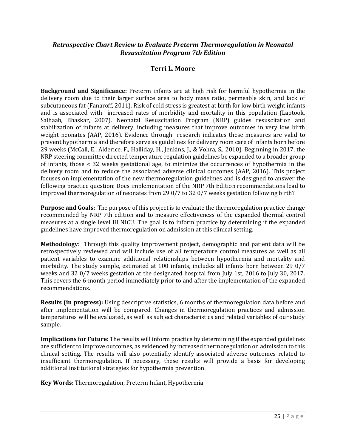### *Retrospective Chart Review to Evaluate Preterm Thermoregulation in Neonatal Resuscitation Program 7th Edition*

#### **Terri L. Moore**

**Background and Significance:** Preterm infants are at high risk for harmful hypothermia in the delivery room due to their larger surface area to body mass ratio, permeable skin, and lack of subcutaneous fat (Fanaroff, 2011). Risk of cold stress is greatest at birth for low birth weight infants and is associated with increased rates of morbidity and mortality in this population (Laptook, Salhaab, Bhaskar, 2007). Neonatal Resuscitation Program (NRP) guides resuscitation and stabilization of infants at delivery, including measures that improve outcomes in very low birth weight neonates (AAP, 2016). Evidence through research indicates these measures are valid to prevent hypothermia and therefore serve as guidelines for delivery room care of infants born before 29 weeks (McCall, E., Alderice, F., Halliday, H., Jenkins, J., & Vohra, S., 2010). Beginning in 2017, the NRP steering committee directed temperature regulation guidelines be expanded to a broader group of infants, those < 32 weeks gestational age, to minimize the occurrences of hypothermia in the delivery room and to reduce the associated adverse clinical outcomes (AAP, 2016). This project focuses on implementation of the new thermoregulation guidelines and is designed to answer the following practice question: Does implementation of the NRP 7th Edition recommendations lead to improved thermoregulation of neonates from 29 0/7 to 32 0/7 weeks gestation following birth?

**Purpose and Goals:** The purpose of this project is to evaluate the thermoregulation practice change recommended by NRP 7th edition and to measure effectiveness of the expanded thermal control measures at a single level III NICU. The goal is to inform practice by determining if the expanded guidelines have improved thermoregulation on admission at this clinical setting.

**Methodology:** Through this quality improvement project, demographic and patient data will be retrospectively reviewed and will include use of all temperature control measures as well as all patient variables to examine additional relationships between hypothermia and mortality and morbidity. The study sample, estimated at 100 infants, includes all infants born between 29 0/7 weeks and 32 0/7 weeks gestation at the designated hospital from July 1st, 2016 to July 30, 2017. This covers the 6-month period immediately prior to and after the implementation of the expanded recommendations.

**Results (in progress):** Using descriptive statistics, 6 months of thermoregulation data before and after implementation will be compared. Changes in thermoregulation practices and admission temperatures will be evaluated, as well as subject characteristics and related variables of our study sample.

**Implications for Future:** The results will inform practice by determining if the expanded guidelines are sufficient to improve outcomes, as evidenced by increased thermoregulation on admission to this clinical setting. The results will also potentially identify associated adverse outcomes related to insufficient thermoregulation. If necessary, these results will provide a basis for developing additional institutional strategies for hypothermia prevention.

**Key Words:** Thermoregulation, Preterm Infant, Hypothermia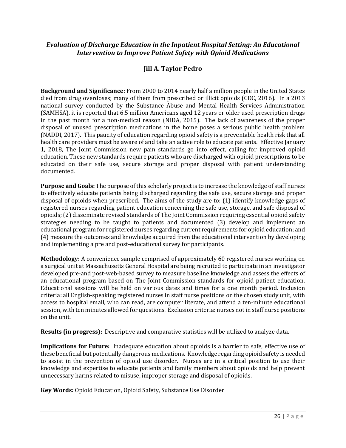#### *Evaluation of Discharge Education in the Inpatient Hospital Setting: An Educational Intervention to Improve Patient Safety with Opioid Medications*

## **Jill A. Taylor Pedro**

**Background and Significance:** From 2000 to 2014 nearly half a million people in the United States died from drug overdoses; many of them from prescribed or illicit opioids (CDC, 2016). In a 2013 national survey conducted by the Substance Abuse and Mental Health Services Administration (SAMHSA), it is reported that 6.5 million Americans aged 12 years or older used prescription drugs in the past month for a non-medical reason (NIDA, 2015). The lack of awareness of the proper disposal of unused prescription medications in the home poses a serious public health problem (NADDI, 2017). This paucity of education regarding opioid safety is a preventable health risk that all health care providers must be aware of and take an active role to educate patients. Effective January 1, 2018, The Joint Commission new pain standards go into effect, calling for improved opioid education. These new standards require patients who are discharged with opioid prescriptions to be educated on their safe use, secure storage and proper disposal with patient understanding documented.

**Purpose and Goals:** The purpose of this scholarly project is to increase the knowledge of staff nurses to effectively educate patients being discharged regarding the safe use, secure storage and proper disposal of opioids when prescribed. The aims of the study are to: (1) identify knowledge gaps of registered nurses regarding patient education concerning the safe use, storage, and safe disposal of opioids; (2) disseminate revised standards of The Joint Commission requiring essential opioid safety strategies needing to be taught to patients and documented (3) develop and implement an educational program for registered nurses regarding current requirements for opioid education; and (4) measure the outcomes and knowledge acquired from the educational intervention by developing and implementing a pre and post-educational survey for participants.

**Methodology:** A convenience sample comprised of approximately 60 registered nurses working on a surgical unit at Massachusetts General Hospital are being recruited to participate in an investigator developed pre-and post-web-based survey to measure baseline knowledge and assess the effects of an educational program based on The Joint Commission standards for opioid patient education. Educational sessions will be held on various dates and times for a one month period. Inclusion criteria: all English-speaking registered nurses in staff nurse positions on the chosen study unit, with access to hospital email, who can read, are computer literate, and attend a ten-minute educational session, with ten minutes allowed for questions. Exclusion criteria: nurses not in staff nurse positions on the unit.

**Results (in progress):** Descriptive and comparative statistics will be utilized to analyze data.

**Implications for Future:** Inadequate education about opioids is a barrier to safe, effective use of these beneficial but potentially dangerous medications. Knowledge regarding opioid safety is needed to assist in the prevention of opioid use disorder. Nurses are in a critical position to use their knowledge and expertise to educate patients and family members about opioids and help prevent unnecessary harms related to misuse, improper storage and disposal of opioids.

**Key Words:** Opioid Education, Opioid Safety, Substance Use Disorder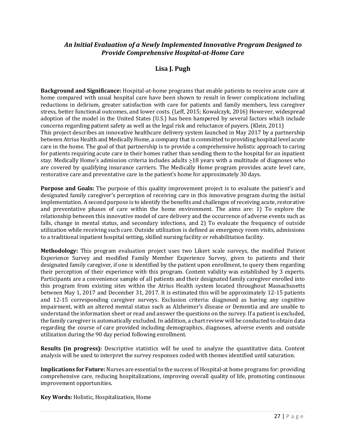#### *An Initial Evaluation of a Newly Implemented Innovative Program Designed to Provide Comprehensive Hospital-at-Home Care*

## **Lisa J. Pugh**

**Background and Significance:** Hospital-at-home programs that enable patients to receive acute care at home compared with usual hospital care have been shown to result in fewer complications including reductions in delirium, greater satisfaction with care for patients and family members, less caregiver stress, better functional outcomes, and lower costs. (Leff, 2015; Kowalczyk, 2016) However, widespread adoption of the model in the United States (U.S.) has been hampered by several factors which include concerns regarding patient safety as well as the legal risk and reluctance of payers. (Klein, 2011) This project describes an innovative healthcare delivery system launched in May 2017 by a partnership between Atrius Health and Medically Home, a company that is committed to providing hospital level acute care in the home. The goal of that partnership is to provide a comprehensive holistic approach to caring for patients requiring acute care in their homes rather than sending them to the hospital for an inpatient stay. Medically Home's admission criteria includes adults  $\geq$ 18 years with a multitude of diagnoses who are covered by qualifying insurance carriers. The Medically Home program provides acute level care, restorative care and preventative care in the patient's home for approximately 30 days.

**Purpose and Goals:** The purpose of this quality improvement project is to evaluate the patient's and designated family caregiver's perception of receiving care in this innovative program during the initial implementation. A second purpose is to identify the benefits and challenges of receiving acute, restorative and preventative phases of care within the home environment. The aims are: 1) To explore the relationship between this innovative model of care delivery and the occurrence of adverse events such as falls, change in mental status, and secondary infections, and 2) To evaluate the frequency of outside utilization while receiving such care. Outside utilization is defined as emergency room visits, admissions to a traditional inpatient hospital setting, skilled nursing facility or rehabilitation facility.

**Methodology:** This program evaluation project uses two Likert scale surveys, the modified Patient Experience Survey and modified Family Member Experience Survey, given to patients and their designated family caregiver, if one is identified by the patient upon enrollment, to query them regarding their perception of their experience with this program. Content validity was established by 3 experts. Participants are a convenience sample of all patients and their designated family caregiver enrolled into this program from existing sites within the Atrius Health system located throughout Massachusetts between May 1, 2017 and December 31, 2017. It is estimated this will be approximately 12-15 patients and 12-15 corresponding caregiver surveys. Exclusion criteria: diagnosed as having any cognitive impairment, with an altered mental status such as Alzheimer's disease or Dementia and are unable to understand the information sheet or read and answer the questions on the survey. If a patient is excluded, the family caregiver is automatically excluded. In addition, a chart review will be conducted to obtain data regarding the course of care provided including demographics, diagnoses, adverse events and outside utilization during the 90 day period following enrollment.

**Results (in progress):** Descriptive statistics will be used to analyze the quantitative data. Content analysis will be used to interpret the survey responses coded with themes identified until saturation.

**Implications for Future:** Nurses are essential to the success of Hospital-at home programs for: providing comprehensive care, reducing hospitalizations, improving overall quality of life, promoting continuous improvement opportunities.

**Key Words:** Holistic, Hospitalization, Home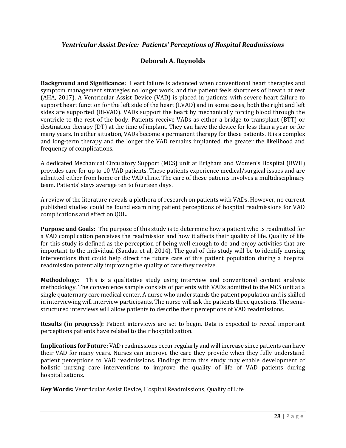#### *Ventricular Assist Device: Patients' Perceptions of Hospital Readmissions*

#### **Deborah A. Reynolds**

**Background and Significance:** Heart failure is advanced when conventional heart therapies and symptom management strategies no longer work, and the patient feels shortness of breath at rest (AHA, 2017). A Ventricular Assist Device (VAD) is placed in patients with severe heart failure to support heart function for the left side of the heart (LVAD) and in some cases, both the right and left sides are supported (Bi-VAD). VADs support the heart by mechanically forcing blood through the ventricle to the rest of the body. Patients receive VADs as either a bridge to transplant (BTT) or destination therapy (DT) at the time of implant. They can have the device for less than a year or for many years. In either situation, VADs become a permanent therapy for these patients. It is a complex and long-term therapy and the longer the VAD remains implanted, the greater the likelihood and frequency of complications.

A dedicated Mechanical Circulatory Support (MCS) unit at Brigham and Women's Hospital (BWH) provides care for up to 10 VAD patients. These patients experience medical/surgical issues and are admitted either from home or the VAD clinic. The care of these patients involves a multidisciplinary team. Patients' stays average ten to fourteen days.

A review of the literature reveals a plethora of research on patients with VADs. However, no current published studies could be found examining patient perceptions of hospital readmissions for VAD complications and effect on QOL.

**Purpose and Goals:** The purpose of this study is to determine how a patient who is readmitted for a VAD complication perceives the readmission and how it affects their quality of life. Quality of life for this study is defined as the perception of being well enough to do and enjoy activities that are important to the individual (Sandau et al, 2014). The goal of this study will be to identify nursing interventions that could help direct the future care of this patient population during a hospital readmission potentially improving the quality of care they receive.

**Methodology:** This is a qualitative study using interview and conventional content analysis methodology. The convenience sample consists of patients with VADs admitted to the MCS unit at a single quaternary care medical center. A nurse who understands the patient population and is skilled in interviewing will interview participants. The nurse will ask the patients three questions. The semistructured interviews will allow patients to describe their perceptions of VAD readmissions.

**Results (in progress):** Patient interviews are set to begin. Data is expected to reveal important perceptions patients have related to their hospitalization.

**Implications for Future:** VAD readmissions occur regularly and will increase since patients can have their VAD for many years. Nurses can improve the care they provide when they fully understand patient perceptions to VAD readmissions. Findings from this study may enable development of holistic nursing care interventions to improve the quality of life of VAD patients during hospitalizations.

**Key Words:** Ventricular Assist Device, Hospital Readmissions, Quality of Life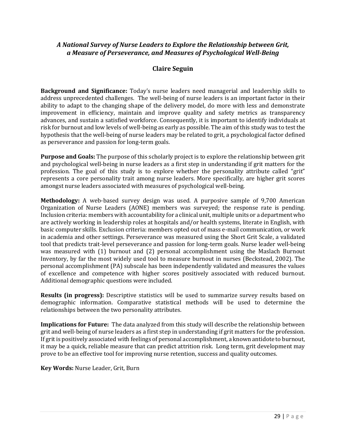#### *A National Survey of Nurse Leaders to Explore the Relationship between Grit, a Measure of Perseverance, and Measures of Psychological Well-Being*

## **Claire Seguin**

**Background and Significance:** Today's nurse leaders need managerial and leadership skills to address unprecedented challenges. The well-being of nurse leaders is an important factor in their ability to adapt to the changing shape of the delivery model, do more with less and demonstrate improvement in efficiency, maintain and improve quality and safety metrics as transparency advances, and sustain a satisfied workforce. Consequently, it is important to identify individuals at risk for burnout and low levels of well-being as early as possible. The aim of this study was to test the hypothesis that the well-being of nurse leaders may be related to grit, a psychological factor defined as perseverance and passion for long-term goals.

**Purpose and Goals:** The purpose of this scholarly project is to explore the relationship between grit and psychological well-being in nurse leaders as a first step in understanding if grit matters for the profession. The goal of this study is to explore whether the personality attribute called "grit" represents a core personality trait among nurse leaders. More specifically, are higher grit scores amongst nurse leaders associated with measures of psychological well-being.

**Methodology:** A web-based survey design was used. A purposive sample of 9,700 American Organization of Nurse Leaders (AONE) members was surveyed; the response rate is pending. Inclusion criteria: members with accountability for a clinical unit, multiple units or a department who are actively working in leadership roles at hospitals and/or health systems, literate in English, with basic computer skills. Exclusion criteria: members opted out of mass e-mail communication, or work in academia and other settings. Perseverance was measured using the Short Grit Scale, a validated tool that predicts trait-level perseverance and passion for long-term goals. Nurse leader well-being was measured with (1) burnout and (2) personal accomplishment using the Maslach Burnout Inventory, by far the most widely used tool to measure burnout in nurses (Beckstead, 2002). The personal accomplishment (PA) subscale has been independently validated and measures the values of excellence and competence with higher scores positively associated with reduced burnout. Additional demographic questions were included.

**Results (in progress):** Descriptive statistics will be used to summarize survey results based on demographic information. Comparative statistical methods will be used to determine the relationships between the two personality attributes.

**Implications for Future:** The data analyzed from this study will describe the relationship between grit and well-being of nurse leaders as a first step in understanding if grit matters for the profession. If grit is positively associated with feelings of personal accomplishment, a known antidote to burnout, it may be a quick, reliable measure that can predict attrition risk. Long term, grit development may prove to be an effective tool for improving nurse retention, success and quality outcomes.

**Key Words:** Nurse Leader, Grit, Burn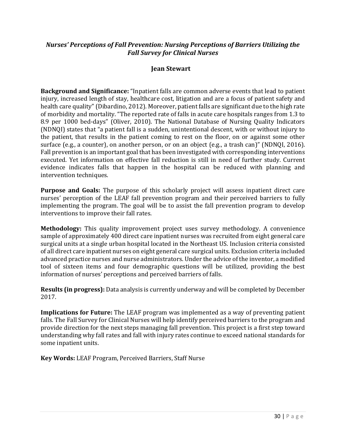## *Nurses' Perceptions of Fall Prevention: Nursing Perceptions of Barriers Utilizing the Fall Survey for Clinical Nurses*

## **Jean Stewart**

**Background and Significance:** "Inpatient falls are common adverse events that lead to patient injury, increased length of stay, healthcare cost, litigation and are a focus of patient safety and health care quality" (Dibardino, 2012). Moreover, patient falls are significant due to the high rate of morbidity and mortality. "The reported rate of falls in acute care hospitals ranges from 1.3 to 8.9 per 1000 bed-days" (Oliver, 2010). The National Database of Nursing Quality Indicators (NDNQI) states that "a patient fall is a sudden, unintentional descent, with or without injury to the patient, that results in the patient coming to rest on the floor, on or against some other surface (e.g., a counter), on another person, or on an object (e.g., a trash can)" (NDNQI, 2016). Fall prevention is an important goal that has been investigated with corresponding interventions executed. Yet information on effective fall reduction is still in need of further study. Current evidence indicates falls that happen in the hospital can be reduced with planning and intervention techniques.

**Purpose and Goals:** The purpose of this scholarly project will assess inpatient direct care nurses' perception of the LEAF fall prevention program and their perceived barriers to fully implementing the program. The goal will be to assist the fall prevention program to develop interventions to improve their fall rates.

**Methodology:** This quality improvement project uses survey methodology. A convenience sample of approximately 400 direct care inpatient nurses was recruited from eight general care surgical units at a single urban hospital located in the Northeast US. Inclusion criteria consisted of all direct care inpatient nurses on eight general care surgical units. Exclusion criteria included advanced practice nurses and nurse administrators. Under the advice of the inventor, a modified tool of sixteen items and four demographic questions will be utilized, providing the best information of nurses' perceptions and perceived barriers of falls.

**Results (in progress):** Data analysis is currently underway and will be completed by December 2017.

**Implications for Future:** The LEAF program was implemented as a way of preventing patient falls. The Fall Survey for Clinical Nurses will help identify perceived barriers to the program and provide direction for the next steps managing fall prevention. This project is a first step toward understanding why fall rates and fall with injury rates continue to exceed national standards for some inpatient units.

**Key Words:** LEAF Program, Perceived Barriers, Staff Nurse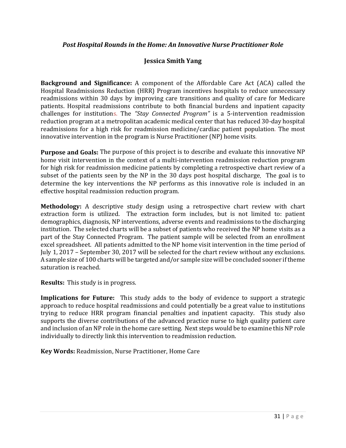#### *Post Hospital Rounds in the Home: An Innovative Nurse Practitioner Role*

## **Jessica Smith Yang**

**Background and Significance:** A component of the Affordable Care Act (ACA) called the Hospital Readmissions Reduction (HRR) Program incentives hospitals to reduce unnecessary readmissions within 30 days by improving care transitions and quality of care for Medicare patients. Hospital readmissions contribute to both financial burdens and inpatient capacity challenges for institutions. The *"Stay Connected Program"* is a 5-intervention readmission reduction program at a metropolitan academic medical center that has reduced 30-day hospital readmissions for a high risk for readmission medicine/cardiac patient population. The most innovative intervention in the program is Nurse Practitioner (NP) home visits.

**Purpose and Goals:** The purpose of this project is to describe and evaluate this innovative NP home visit intervention in the context of a multi-intervention readmission reduction program for high risk for readmission medicine patients by completing a retrospective chart review of a subset of the patients seen by the NP in the 30 days post hospital discharge. The goal is to determine the key interventions the NP performs as this innovative role is included in an effective hospital readmission reduction program.

**Methodology:** A descriptive study design using a retrospective chart review with chart extraction form is utilized. The extraction form includes, but is not limited to: patient demographics, diagnosis, NP interventions, adverse events and readmissions to the discharging institution. The selected charts will be a subset of patients who received the NP home visits as a part of the Stay Connected Program. The patient sample will be selected from an enrollment excel spreadsheet. All patients admitted to the NP home visit intervention in the time period of July 1, 2017 – September 30, 2017 will be selected for the chart review without any exclusions. A sample size of 100 charts will be targeted and/or sample size will be concluded sooner if theme saturation is reached.

**Results:** This study is in progress.

**Implications for Future:** This study adds to the body of evidence to support a strategic approach to reduce hospital readmissions and could potentially be a great value to institutions trying to reduce HRR program financial penalties and inpatient capacity. This study also supports the diverse contributions of the advanced practice nurse to high quality patient care and inclusion of an NP role in the home care setting. Next steps would be to examine this NP role individually to directly link this intervention to readmission reduction.

**Key Words:** Readmission, Nurse Practitioner, Home Care